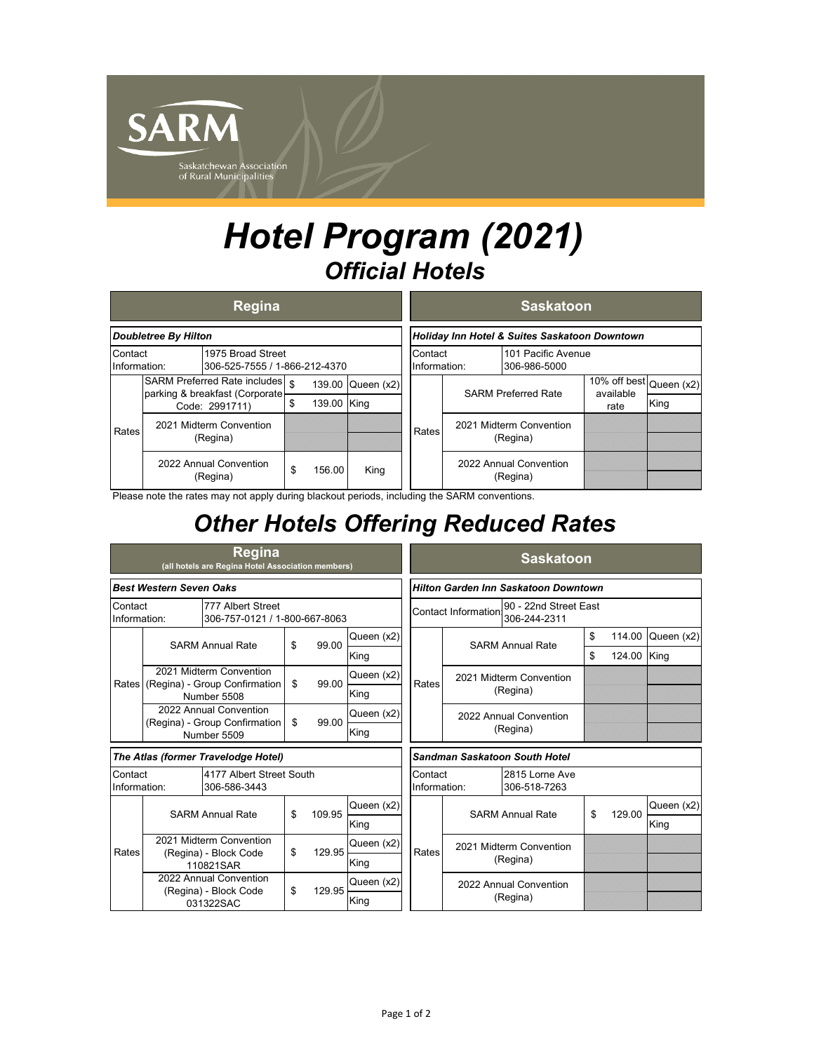

## *Hotel Program (2021) Official Hotels*

|                                                                               |                                                                                       | <b>Regina</b>                      |    |             |                                               |                         |       |                                     | <b>Saskatoon</b>                   |                                                    |      |
|-------------------------------------------------------------------------------|---------------------------------------------------------------------------------------|------------------------------------|----|-------------|-----------------------------------------------|-------------------------|-------|-------------------------------------|------------------------------------|----------------------------------------------------|------|
| Doubletree By Hilton                                                          |                                                                                       |                                    |    |             | Holiday Inn Hotel & Suites Saskatoon Downtown |                         |       |                                     |                                    |                                                    |      |
| Contact<br>1975 Broad Street<br>Information:<br>306-525-7555 / 1-866-212-4370 |                                                                                       |                                    |    |             |                                               | Contact<br>Information: |       | 101 Pacific Avenue<br>306-986-5000  |                                    |                                                    |      |
| Rates                                                                         | SARM Preferred Rate includes   \$<br>parking & breakfast (Corporate<br>Code: 2991711) |                                    |    |             | 139.00 Queen (x2)                             |                         |       | <b>SARM Preferred Rate</b>          |                                    | $\overline{10\%}$ off best Queen (x2)<br>available |      |
|                                                                               |                                                                                       |                                    | \$ | 139.00 King |                                               |                         |       |                                     |                                    | rate                                               | King |
|                                                                               | 2021 Midterm Convention<br>(Regina)                                                   |                                    |    |             |                                               |                         | Rates | 2021 Midterm Convention<br>(Regina) |                                    |                                                    |      |
|                                                                               |                                                                                       | 2022 Annual Convention<br>(Regina) |    | 156.00      | King                                          |                         |       |                                     | 2022 Annual Convention<br>(Regina) |                                                    |      |

Please note the rates may not apply during blackout periods, including the SARM conventions.

## *Other Hotels Offering Reduced Rates*

| <b>Regina</b><br>(all hotels are Regina Hotel Association members)            |                                                                         |                                    |    |        |                                                                     |                                      | <b>Saskatoon</b>                                          |  |    |             |            |  |  |  |
|-------------------------------------------------------------------------------|-------------------------------------------------------------------------|------------------------------------|----|--------|---------------------------------------------------------------------|--------------------------------------|-----------------------------------------------------------|--|----|-------------|------------|--|--|--|
| <b>Best Western Seven Oaks</b>                                                |                                                                         |                                    |    |        |                                                                     | Hilton Garden Inn Saskatoon Downtown |                                                           |  |    |             |            |  |  |  |
| Contact<br>777 Albert Street<br>306-757-0121 / 1-800-667-8063<br>Information: |                                                                         |                                    |    |        | 90 - 22nd Street East<br><b>Contact Information</b><br>306-244-2311 |                                      |                                                           |  |    |             |            |  |  |  |
|                                                                               | <b>SARM Annual Rate</b>                                                 |                                    | \$ | 99.00  | Queen (x2)                                                          |                                      | <b>SARM Annual Rate</b>                                   |  | \$ | 114.00      | Queen (x2) |  |  |  |
|                                                                               |                                                                         |                                    |    |        | King                                                                |                                      |                                                           |  | \$ | 124.00 King |            |  |  |  |
| Rates                                                                         | 2021 Midterm Convention<br>(Regina) - Group Confirmation<br>Number 5508 |                                    | \$ | 99.00  | Queen (x2)                                                          | Rates                                | 2021 Midterm Convention<br>(Regina)                       |  |    |             |            |  |  |  |
|                                                                               |                                                                         |                                    |    |        | King                                                                |                                      |                                                           |  |    |             |            |  |  |  |
|                                                                               | 2022 Annual Convention<br>(Regina) - Group Confirmation                 |                                    | \$ | 99.00  | Queen (x2)                                                          |                                      | 2022 Annual Convention<br>(Regina)                        |  |    |             |            |  |  |  |
|                                                                               |                                                                         | Number 5509                        |    |        | King                                                                |                                      |                                                           |  |    |             |            |  |  |  |
| The Atlas (former Travelodge Hotel)                                           |                                                                         |                                    |    |        |                                                                     | Sandman Saskatoon South Hotel        |                                                           |  |    |             |            |  |  |  |
| 4177 Albert Street South<br>Contact<br>306-586-3443<br>Information:           |                                                                         |                                    |    |        |                                                                     |                                      | 2815 Lorne Ave<br>Contact<br>306-518-7263<br>Information: |  |    |             |            |  |  |  |
| Rates                                                                         | <b>SARM Annual Rate</b>                                                 |                                    | \$ | 109.95 | Queen (x2)                                                          |                                      | <b>SARM Annual Rate</b>                                   |  | \$ | 129.00      | Queen (x2) |  |  |  |
|                                                                               |                                                                         |                                    |    |        | King                                                                |                                      |                                                           |  |    |             | King       |  |  |  |
|                                                                               | 2021 Midterm Convention                                                 |                                    | \$ | 129.95 | Queen (x2)                                                          | Rates                                | 2021 Midterm Convention<br>(Regina)                       |  |    |             |            |  |  |  |
|                                                                               |                                                                         | (Regina) - Block Code<br>110821SAR |    |        | King                                                                |                                      |                                                           |  |    |             |            |  |  |  |
|                                                                               | 2022 Annual Convention                                                  |                                    | \$ | 129.95 | Queen (x2)                                                          |                                      | 2022 Annual Convention                                    |  |    |             |            |  |  |  |
|                                                                               |                                                                         | (Regina) - Block Code<br>031322SAC |    |        | King                                                                |                                      | (Regina)                                                  |  |    |             |            |  |  |  |